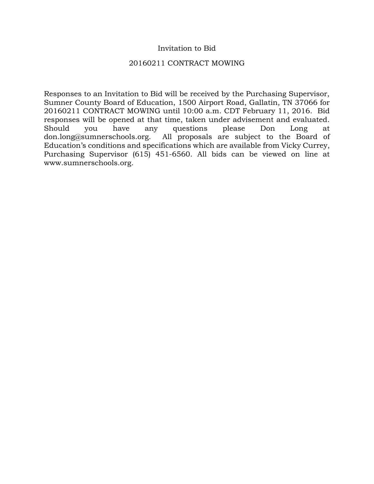#### Invitation to Bid

#### 20160211 CONTRACT MOWING

Responses to an Invitation to Bid will be received by the Purchasing Supervisor, Sumner County Board of Education, 1500 Airport Road, Gallatin, TN 37066 for 20160211 CONTRACT MOWING until 10:00 a.m. CDT February 11, 2016. Bid responses will be opened at that time, taken under advisement and evaluated. Should you have any questions please Don Long at don.long@sumnerschools.org. All proposals are subject to the Board of Education's conditions and specifications which are available from Vicky Currey, Purchasing Supervisor (615) 451-6560. All bids can be viewed on line at www.sumnerschools.org.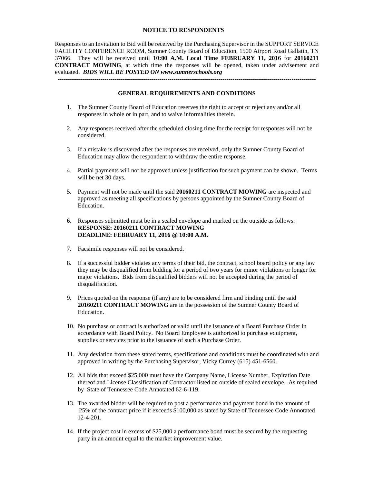#### **NOTICE TO RESPONDENTS**

Responses to an Invitation to Bid will be received by the Purchasing Supervisor in the SUPPORT SERVICE FACILITY CONFERENCE ROOM, Sumner County Board of Education, 1500 Airport Road Gallatin, TN 37066. They will be received until **10:00 A.M. Local Time FEBRUARY 11, 2016** for **20160211 CONTRACT MOWING**, at which time the responses will be opened, taken under advisement and evaluated. *BIDS WILL BE POSTED ON www.sumnerschools.org* 

#### **GENERAL REQUIREMENTS AND CONDITIONS**

-------------------------------------------------------------------------------------------------------------------------------

- 1. The Sumner County Board of Education reserves the right to accept or reject any and/or all responses in whole or in part, and to waive informalities therein.
- 2. Any responses received after the scheduled closing time for the receipt for responses will not be considered.
- 3. If a mistake is discovered after the responses are received, only the Sumner County Board of Education may allow the respondent to withdraw the entire response.
- 4. Partial payments will not be approved unless justification for such payment can be shown. Terms will be net 30 days.
- 5. Payment will not be made until the said **20160211 CONTRACT MOWING** are inspected and approved as meeting all specifications by persons appointed by the Sumner County Board of Education.
- 6. Responses submitted must be in a sealed envelope and marked on the outside as follows: **RESPONSE: 20160211 CONTRACT MOWING DEADLINE: FEBRUARY 11, 2016 @ 10:00 A.M.**
- 7. Facsimile responses will not be considered.
- 8. If a successful bidder violates any terms of their bid, the contract, school board policy or any law they may be disqualified from bidding for a period of two years for minor violations or longer for major violations. Bids from disqualified bidders will not be accepted during the period of disqualification.
- 9. Prices quoted on the response (if any) are to be considered firm and binding until the said **20160211 CONTRACT MOWING** are in the possession of the Sumner County Board of Education.
- 10. No purchase or contract is authorized or valid until the issuance of a Board Purchase Order in accordance with Board Policy. No Board Employee is authorized to purchase equipment, supplies or services prior to the issuance of such a Purchase Order.
- 11. Any deviation from these stated terms, specifications and conditions must be coordinated with and approved in writing by the Purchasing Supervisor, Vicky Currey (615) 451-6560.
- 12. All bids that exceed \$25,000 must have the Company Name, License Number, Expiration Date thereof and License Classification of Contractor listed on outside of sealed envelope. As required by State of Tennessee Code Annotated 62-6-119.
- 13. The awarded bidder will be required to post a performance and payment bond in the amount of 25% of the contract price if it exceeds \$100,000 as stated by State of Tennessee Code Annotated 12-4-201.
- 14. If the project cost in excess of \$25,000 a performance bond must be secured by the requesting party in an amount equal to the market improvement value.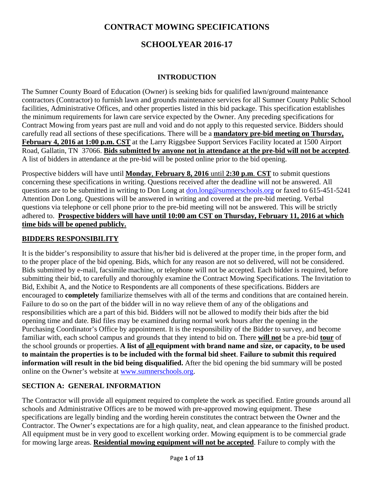#### **CONTRACT MOWING SPECIFICATIONS**

### **SCHOOLYEAR 2016-17**

#### **INTRODUCTION**

The Sumner County Board of Education (Owner) is seeking bids for qualified lawn/ground maintenance contractors (Contractor) to furnish lawn and grounds maintenance services for all Sumner County Public School facilities, Administrative Offices, and other properties listed in this bid package. This specification establishes the minimum requirements for lawn care service expected by the Owner. Any preceding specifications for Contract Mowing from years past are null and void and do not apply to this requested service. Bidders should carefully read all sections of these specifications. There will be a **mandatory pre-bid meeting on Thursday, February 4, 2016 at 1:00 p.m. CST** at the Larry Riggsbee Support Services Facility located at 1500 Airport Road, Gallatin, TN 37066. **Bids submitted by anyone not in attendance at the pre-bid will not be accepted**. A list of bidders in attendance at the pre-bid will be posted online prior to the bid opening.

Prospective bidders will have until **Monday**, **February 8, 2016** until **2:30 p.m**. **CST** to submit questions concerning these specifications in writing. Questions received after the deadline will not be answered. All questions are to be submitted in writing to Don Long at don.long@sumnerschools.org or faxed to 615-451-5241 Attention Don Long. Questions will be answered in writing and covered at the pre-bid meeting. Verbal questions via telephone or cell phone prior to the pre-bid meeting will not be answered. This will be strictly adhered to. **Prospective bidders will have until 10:00 am CST on Thursday, February 11, 2016 at which time bids will be opened publicly.**

#### **BIDDERS RESPONSIBILITY**

It is the bidder's responsibility to assure that his/her bid is delivered at the proper time, in the proper form, and to the proper place of the bid opening. Bids, which for any reason are not so delivered, will not be considered. Bids submitted by e-mail, facsimile machine, or telephone will not be accepted. Each bidder is required, before submitting their bid, to carefully and thoroughly examine the Contract Mowing Specifications. The Invitation to Bid, Exhibit A, and the Notice to Respondents are all components of these specifications. Bidders are encouraged to **completely** familiarize themselves with all of the terms and conditions that are contained herein. Failure to do so on the part of the bidder will in no way relieve them of any of the obligations and responsibilities which are a part of this bid. Bidders will not be allowed to modify their bids after the bid opening time and date. Bid files may be examined during normal work hours after the opening in the Purchasing Coordinator's Office by appointment. It is the responsibility of the Bidder to survey, and become familiar with, each school campus and grounds that they intend to bid on. There **will not** be a pre-bid **tour** of the school grounds or properties. **A list of all equipment with brand name and size, or capacity, to be used to maintain the properties is to be included with the formal bid sheet**. **Failure to submit this required information will result in the bid being disqualified.** After the bid opening the bid summary will be posted online on the Owner's website at www.sumnerschools.org.

#### **SECTION A: GENERAL INFORMATION**

The Contractor will provide all equipment required to complete the work as specified. Entire grounds around all schools and Administrative Offices are to be mowed with pre-approved mowing equipment. These specifications are legally binding and the wording herein constitutes the contract between the Owner and the Contractor. The Owner's expectations are for a high quality, neat, and clean appearance to the finished product. All equipment must be in very good to excellent working order. Mowing equipment is to be commercial grade for mowing large areas. **Residential mowing equipment will not be accepted**. Failure to comply with the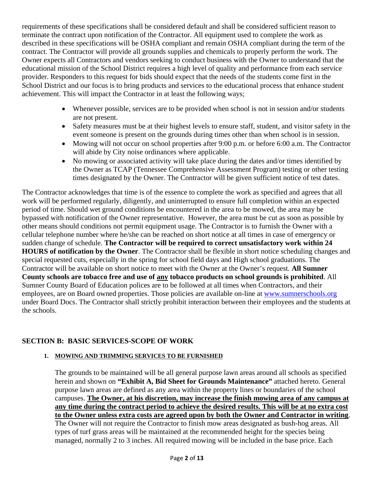requirements of these specifications shall be considered default and shall be considered sufficient reason to terminate the contract upon notification of the Contractor. All equipment used to complete the work as described in these specifications will be OSHA compliant and remain OSHA compliant during the term of the contract. The Contractor will provide all grounds supplies and chemicals to properly perform the work. The Owner expects all Contractors and vendors seeking to conduct business with the Owner to understand that the educational mission of the School District requires a high level of quality and performance from each service provider. Responders to this request for bids should expect that the needs of the students come first in the School District and our focus is to bring products and services to the educational process that enhance student achievement. This will impact the Contractor in at least the following ways;

- Whenever possible, services are to be provided when school is not in session and/or students are not present.
- Safety measures must be at their highest levels to ensure staff, student, and visitor safety in the event someone is present on the grounds during times other than when school is in session.
- Mowing will not occur on school properties after 9:00 p.m. or before 6:00 a.m. The Contractor will abide by City noise ordinances where applicable.
- No mowing or associated activity will take place during the dates and/or times identified by the Owner as TCAP (Tennessee Comprehensive Assessment Program) testing or other testing times designated by the Owner. The Contractor will be given sufficient notice of test dates.

The Contractor acknowledges that time is of the essence to complete the work as specified and agrees that all work will be performed regularly, diligently, and uninterrupted to ensure full completion within an expected period of time. Should wet ground conditions be encountered in the area to be mowed, the area may be bypassed with notification of the Owner representative. However, the area must be cut as soon as possible by other means should conditions not permit equipment usage. The Contractor is to furnish the Owner with a cellular telephone number where he/she can be reached on short notice at all times in case of emergency or sudden change of schedule. **The Contractor will be required to correct unsatisfactory work within 24 HOURS of notification by the Owner**. The Contractor shall be flexible in short notice scheduling changes and special requested cuts, especially in the spring for school field days and High school graduations. The Contractor will be available on short notice to meet with the Owner at the Owner's request. **All Sumner County schools are tobacco free and use of any tobacco products on school grounds is prohibited**. All Sumner County Board of Education polices are to be followed at all times when Contractors, and their employees, are on Board owned properties. Those policies are available on-line at www.sumnerschools.org under Board Docs. The Contractor shall strictly prohibit interaction between their employees and the students at the schools.

#### **SECTION B: BASIC SERVICES-SCOPE OF WORK**

#### **1. MOWING AND TRIMMING SERVICES TO BE FURNISHED**

The grounds to be maintained will be all general purpose lawn areas around all schools as specified herein and shown on **"Exhibit A, Bid Sheet for Grounds Maintenance"** attached hereto. General purpose lawn areas are defined as any area within the property lines or boundaries of the school campuses. **The Owner, at his discretion, may increase the finish mowing area of any campus at any time during the contract period to achieve the desired results. This will be at no extra cost to the Owner unless extra costs are agreed upon by both the Owner and Contractor in writing**. The Owner will not require the Contractor to finish mow areas designated as bush-hog areas. All types of turf grass areas will be maintained at the recommended height for the species being managed, normally 2 to 3 inches. All required mowing will be included in the base price. Each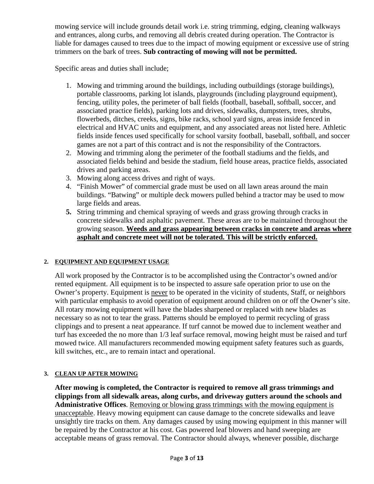mowing service will include grounds detail work i.e. string trimming, edging, cleaning walkways and entrances, along curbs, and removing all debris created during operation. The Contractor is liable for damages caused to trees due to the impact of mowing equipment or excessive use of string trimmers on the bark of trees. **Sub contracting of mowing will not be permitted.** 

Specific areas and duties shall include;

- 1. Mowing and trimming around the buildings, including outbuildings (storage buildings), portable classrooms, parking lot islands, playgrounds (including playground equipment), fencing, utility poles, the perimeter of ball fields (football, baseball, softball, soccer, and associated practice fields), parking lots and drives, sidewalks, dumpsters, trees, shrubs, flowerbeds, ditches, creeks, signs, bike racks, school yard signs, areas inside fenced in electrical and HVAC units and equipment, and any associated areas not listed here. Athletic fields inside fences used specifically for school varsity football, baseball, softball, and soccer games are not a part of this contract and is not the responsibility of the Contractors.
- 2. Mowing and trimming along the perimeter of the football stadiums and the fields, and associated fields behind and beside the stadium, field house areas, practice fields, associated drives and parking areas.
- 3. Mowing along access drives and right of ways.
- 4. "Finish Mower" of commercial grade must be used on all lawn areas around the main buildings. "Batwing" or multiple deck mowers pulled behind a tractor may be used to mow large fields and areas.
- **5.** String trimming and chemical spraying of weeds and grass growing through cracks in concrete sidewalks and asphaltic pavement. These areas are to be maintained throughout the growing season. **Weeds and grass appearing between cracks in concrete and areas where asphalt and concrete meet will not be tolerated. This will be strictly enforced.**

#### **2. EQUIPMENT AND EQUIPMENT USAGE**

All work proposed by the Contractor is to be accomplished using the Contractor's owned and/or rented equipment. All equipment is to be inspected to assure safe operation prior to use on the Owner's property. Equipment is never to be operated in the vicinity of students, Staff, or neighbors with particular emphasis to avoid operation of equipment around children on or off the Owner's site. All rotary mowing equipment will have the blades sharpened or replaced with new blades as necessary so as not to tear the grass. Patterns should be employed to permit recycling of grass clippings and to present a neat appearance. If turf cannot be mowed due to inclement weather and turf has exceeded the no more than 1/3 leaf surface removal, mowing height must be raised and turf mowed twice. All manufacturers recommended mowing equipment safety features such as guards, kill switches, etc., are to remain intact and operational.

#### **3. CLEAN UP AFTER MOWING**

**After mowing is completed, the Contractor is required to remove all grass trimmings and clippings from all sidewalk areas, along curbs, and driveway gutters around the schools and Administrative Offices**. Removing or blowing grass trimmings with the mowing equipment is unacceptable. Heavy mowing equipment can cause damage to the concrete sidewalks and leave unsightly tire tracks on them. Any damages caused by using mowing equipment in this manner will be repaired by the Contractor at his cost. Gas powered leaf blowers and hand sweeping are acceptable means of grass removal. The Contractor should always, whenever possible, discharge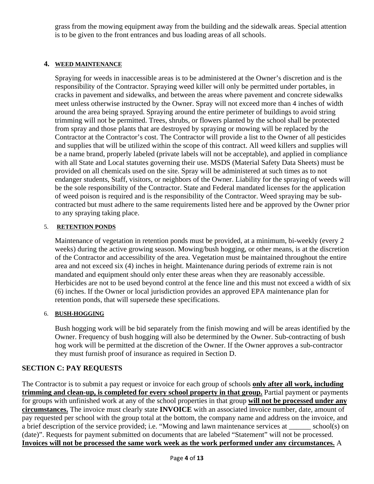grass from the mowing equipment away from the building and the sidewalk areas. Special attention is to be given to the front entrances and bus loading areas of all schools.

#### **4. WEED MAINTENANCE**

Spraying for weeds in inaccessible areas is to be administered at the Owner's discretion and is the responsibility of the Contractor. Spraying weed killer will only be permitted under portables, in cracks in pavement and sidewalks, and between the areas where pavement and concrete sidewalks meet unless otherwise instructed by the Owner. Spray will not exceed more than 4 inches of width around the area being sprayed. Spraying around the entire perimeter of buildings to avoid string trimming will not be permitted. Trees, shrubs, or flowers planted by the school shall be protected from spray and those plants that are destroyed by spraying or mowing will be replaced by the Contractor at the Contractor's cost. The Contractor will provide a list to the Owner of all pesticides and supplies that will be utilized within the scope of this contract. All weed killers and supplies will be a name brand, properly labeled (private labels will not be acceptable), and applied in compliance with all State and Local statutes governing their use. MSDS (Material Safety Data Sheets) must be provided on all chemicals used on the site. Spray will be administered at such times as to not endanger students, Staff, visitors, or neighbors of the Owner. Liability for the spraying of weeds will be the sole responsibility of the Contractor. State and Federal mandated licenses for the application of weed poison is required and is the responsibility of the Contractor. Weed spraying may be subcontracted but must adhere to the same requirements listed here and be approved by the Owner prior to any spraying taking place.

#### 5. **RETENTION PONDS**

Maintenance of vegetation in retention ponds must be provided, at a minimum, bi-weekly (every 2 weeks) during the active growing season. Mowing/bush hogging, or other means, is at the discretion of the Contractor and accessibility of the area. Vegetation must be maintained throughout the entire area and not exceed six (4) inches in height. Maintenance during periods of extreme rain is not mandated and equipment should only enter these areas when they are reasonably accessible. Herbicides are not to be used beyond control at the fence line and this must not exceed a width of six (6) inches. If the Owner or local jurisdiction provides an approved EPA maintenance plan for retention ponds, that will supersede these specifications.

#### 6. **BUSH-HOGGING**

Bush hogging work will be bid separately from the finish mowing and will be areas identified by the Owner. Frequency of bush hogging will also be determined by the Owner. Sub-contracting of bush hog work will be permitted at the discretion of the Owner. If the Owner approves a sub-contractor they must furnish proof of insurance as required in Section D.

#### **SECTION C: PAY REQUESTS**

The Contractor is to submit a pay request or invoice for each group of schools **only after all work, including trimming and clean-up, is completed for every school property in that group.** Partial payment or payments for groups with unfinished work at any of the school properties in that group **will not be processed under any circumstances.** The invoice must clearly state **INVOICE** with an associated invoice number, date, amount of pay requested per school with the group total at the bottom, the company name and address on the invoice, and a brief description of the service provided; i.e. "Mowing and lawn maintenance services at \_\_\_\_\_\_ school(s) on (date)". Requests for payment submitted on documents that are labeled "Statement" will not be processed. **Invoices will not be processed the same work week as the work performed under any circumstances.** A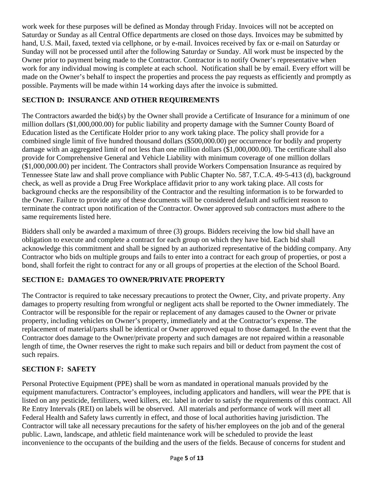work week for these purposes will be defined as Monday through Friday. Invoices will not be accepted on Saturday or Sunday as all Central Office departments are closed on those days. Invoices may be submitted by hand, U.S. Mail, faxed, texted via cellphone, or by e-mail. Invoices received by fax or e-mail on Saturday or Sunday will not be processed until after the following Saturday or Sunday. All work must be inspected by the Owner prior to payment being made to the Contractor. Contractor is to notify Owner's representative when work for any individual mowing is complete at each school. Notification shall be by email. Every effort will be made on the Owner's behalf to inspect the properties and process the pay requests as efficiently and promptly as possible. Payments will be made within 14 working days after the invoice is submitted.

#### **SECTION D: INSURANCE AND OTHER REQUIREMENTS**

The Contractors awarded the bid(s) by the Owner shall provide a Certificate of Insurance for a minimum of one million dollars (\$1,000,000.00) for public liability and property damage with the Sumner County Board of Education listed as the Certificate Holder prior to any work taking place. The policy shall provide for a combined single limit of five hundred thousand dollars (\$500,000.00) per occurrence for bodily and property damage with an aggregated limit of not less than one million dollars (\$1,000,000.00). The certificate shall also provide for Comprehensive General and Vehicle Liability with minimum coverage of one million dollars (\$1,000,000.00) per incident. The Contractors shall provide Workers Compensation Insurance as required by Tennessee State law and shall prove compliance with Public Chapter No. 587, T.C.A. 49-5-413 (d), background check, as well as provide a Drug Free Workplace affidavit prior to any work taking place. All costs for background checks are the responsibility of the Contractor and the resulting information is to be forwarded to the Owner. Failure to provide any of these documents will be considered default and sufficient reason to terminate the contract upon notification of the Contractor. Owner approved sub contractors must adhere to the same requirements listed here.

Bidders shall only be awarded a maximum of three (3) groups. Bidders receiving the low bid shall have an obligation to execute and complete a contract for each group on which they have bid. Each bid shall acknowledge this commitment and shall be signed by an authorized representative of the bidding company. Any Contractor who bids on multiple groups and fails to enter into a contract for each group of properties, or post a bond, shall forfeit the right to contract for any or all groups of properties at the election of the School Board.

#### **SECTION E: DAMAGES TO OWNER/PRIVATE PROPERTY**

The Contractor is required to take necessary precautions to protect the Owner, City, and private property. Any damages to property resulting from wrongful or negligent acts shall be reported to the Owner immediately. The Contractor will be responsible for the repair or replacement of any damages caused to the Owner or private property, including vehicles on Owner's property, immediately and at the Contractor's expense. The replacement of material/parts shall be identical or Owner approved equal to those damaged. In the event that the Contractor does damage to the Owner/private property and such damages are not repaired within a reasonable length of time, the Owner reserves the right to make such repairs and bill or deduct from payment the cost of such repairs.

#### **SECTION F: SAFETY**

Personal Protective Equipment (PPE) shall be worn as mandated in operational manuals provided by the equipment manufacturers. Contractor's employees, including applicators and handlers, will wear the PPE that is listed on any pesticide, fertilizers, weed killers, etc. label in order to satisfy the requirements of this contract. All Re Entry Intervals (REI) on labels will be observed. All materials and performance of work will meet all Federal Health and Safety laws currently in effect, and those of local authorities having jurisdiction. The Contractor will take all necessary precautions for the safety of his/her employees on the job and of the general public. Lawn, landscape, and athletic field maintenance work will be scheduled to provide the least inconvenience to the occupants of the building and the users of the fields. Because of concerns for student and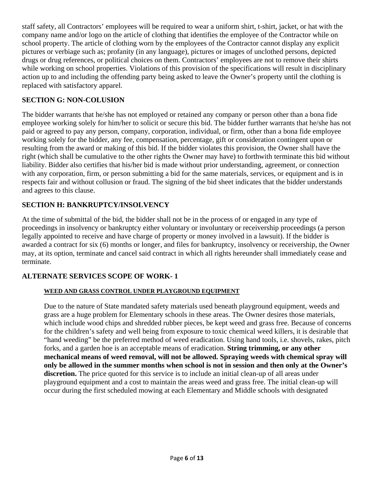staff safety, all Contractors' employees will be required to wear a uniform shirt, t-shirt, jacket, or hat with the company name and/or logo on the article of clothing that identifies the employee of the Contractor while on school property. The article of clothing worn by the employees of the Contractor cannot display any explicit pictures or verbiage such as; profanity (in any language), pictures or images of unclothed persons, depicted drugs or drug references, or political choices on them. Contractors' employees are not to remove their shirts while working on school properties. Violations of this provision of the specifications will result in disciplinary action up to and including the offending party being asked to leave the Owner's property until the clothing is replaced with satisfactory apparel.

#### **SECTION G: NON-COLUSION**

The bidder warrants that he/she has not employed or retained any company or person other than a bona fide employee working solely for him/her to solicit or secure this bid. The bidder further warrants that he/she has not paid or agreed to pay any person, company, corporation, individual, or firm, other than a bona fide employee working solely for the bidder, any fee, compensation, percentage, gift or consideration contingent upon or resulting from the award or making of this bid. If the bidder violates this provision, the Owner shall have the right (which shall be cumulative to the other rights the Owner may have) to forthwith terminate this bid without liability. Bidder also certifies that his/her bid is made without prior understanding, agreement, or connection with any corporation, firm, or person submitting a bid for the same materials, services, or equipment and is in respects fair and without collusion or fraud. The signing of the bid sheet indicates that the bidder understands and agrees to this clause.

#### **SECTION H: BANKRUPTCY/INSOLVENCY**

At the time of submittal of the bid, the bidder shall not be in the process of or engaged in any type of proceedings in insolvency or bankruptcy either voluntary or involuntary or receivership proceedings (a person legally appointed to receive and have charge of property or money involved in a lawsuit). If the bidder is awarded a contract for six (6) months or longer, and files for bankruptcy, insolvency or receivership, the Owner may, at its option, terminate and cancel said contract in which all rights hereunder shall immediately cease and terminate.

#### **ALTERNATE SERVICES SCOPE OF WORK- 1**

#### **WEED AND GRASS CONTROL UNDER PLAYGROUND EQUIPMENT**

Due to the nature of State mandated safety materials used beneath playground equipment, weeds and grass are a huge problem for Elementary schools in these areas. The Owner desires those materials, which include wood chips and shredded rubber pieces, be kept weed and grass free. Because of concerns for the children's safety and well being from exposure to toxic chemical weed killers, it is desirable that "hand weeding" be the preferred method of weed eradication. Using hand tools, i.e. shovels, rakes, pitch forks, and a garden hoe is an acceptable means of eradication. **String trimming, or any other mechanical means of weed removal, will not be allowed. Spraying weeds with chemical spray will only be allowed in the summer months when school is not in session and then only at the Owner's discretion.** The price quoted for this service is to include an initial clean-up of all areas under playground equipment and a cost to maintain the areas weed and grass free. The initial clean-up will occur during the first scheduled mowing at each Elementary and Middle schools with designated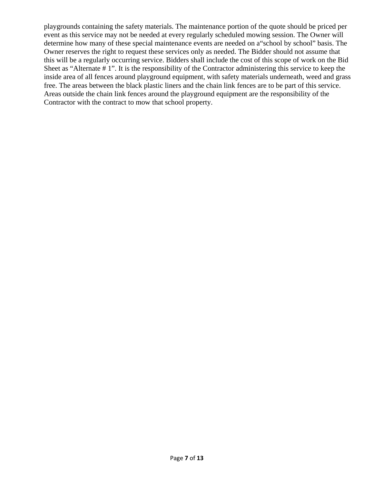playgrounds containing the safety materials. The maintenance portion of the quote should be priced per event as this service may not be needed at every regularly scheduled mowing session. The Owner will determine how many of these special maintenance events are needed on a"school by school" basis. The Owner reserves the right to request these services only as needed. The Bidder should not assume that this will be a regularly occurring service. Bidders shall include the cost of this scope of work on the Bid Sheet as "Alternate # 1". It is the responsibility of the Contractor administering this service to keep the inside area of all fences around playground equipment, with safety materials underneath, weed and grass free. The areas between the black plastic liners and the chain link fences are to be part of this service. Areas outside the chain link fences around the playground equipment are the responsibility of the Contractor with the contract to mow that school property.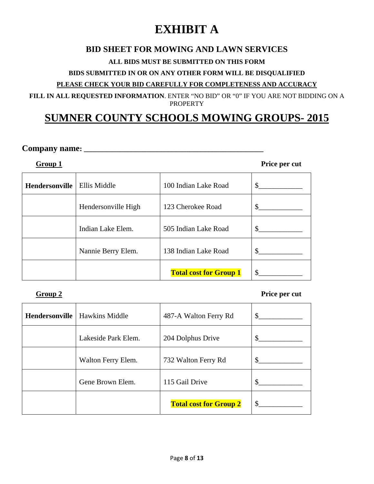# **EXHIBIT A**

#### **BID SHEET FOR MOWING AND LAWN SERVICES**

#### **ALL BIDS MUST BE SUBMITTED ON THIS FORM**

#### **BIDS SUBMITTED IN OR ON ANY OTHER FORM WILL BE DISQUALIFIED**

#### **PLEASE CHECK YOUR BID CAREFULLY FOR COMPLETENESS AND ACCURACY**

**FILL IN ALL REQUESTED INFORMATION**. ENTER "NO BID" OR "0" IF YOU ARE NOT BIDDING ON A PROPERTY

## **SUMNER COUNTY SCHOOLS MOWING GROUPS- 2015**

#### **Company name: \_\_\_\_\_\_\_\_\_\_\_\_\_\_\_\_\_\_\_\_\_\_\_\_\_\_\_\_\_\_\_\_\_\_\_\_\_\_\_\_\_\_\_\_\_\_\_\_\_**

**Group 1** Price per cut

| <b>Hendersonville</b> | Ellis Middle        | 100 Indian Lake Road          | S   |
|-----------------------|---------------------|-------------------------------|-----|
|                       | Hendersonville High | 123 Cherokee Road             |     |
|                       | Indian Lake Elem.   | 505 Indian Lake Road          |     |
|                       | Nannie Berry Elem.  | 138 Indian Lake Road          | \$. |
|                       |                     | <b>Total cost for Group 1</b> |     |

#### **Group 2** Price per cut

| Hendersonville | <b>Hawkins Middle</b> | 487-A Walton Ferry Rd         | \$. |
|----------------|-----------------------|-------------------------------|-----|
|                | Lakeside Park Elem.   | 204 Dolphus Drive             |     |
|                | Walton Ferry Elem.    | 732 Walton Ferry Rd           | \$. |
|                | Gene Brown Elem.      | 115 Gail Drive                |     |
|                |                       | <b>Total cost for Group 2</b> | £.  |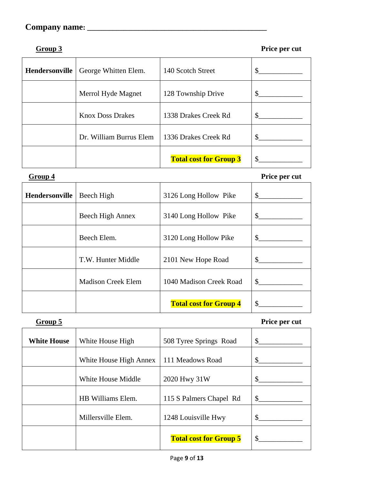### **Company name: \_\_\_\_\_\_\_\_\_\_\_\_\_\_\_\_\_\_\_\_\_\_\_\_\_\_\_\_\_\_\_\_\_\_\_\_\_\_\_\_\_\_\_\_\_\_\_\_\_**

**Group 3 Price per cut** 

| Hendersonville | George Whitten Elem.    | 140 Scotch Street             |  |
|----------------|-------------------------|-------------------------------|--|
|                | Merrol Hyde Magnet      | 128 Township Drive            |  |
|                | <b>Knox Doss Drakes</b> | 1338 Drakes Creek Rd          |  |
|                | Dr. William Burrus Elem | 1336 Drakes Creek Rd          |  |
|                |                         | <b>Total cost for Group 3</b> |  |

**Group 4 Price per cut** 

| <b>Hendersonville</b> | Beech High                | 3126 Long Hollow Pike         | $\mathbb{S}^-$ |
|-----------------------|---------------------------|-------------------------------|----------------|
|                       | Beech High Annex          | 3140 Long Hollow Pike         | $\mathbb{S}$   |
|                       | Beech Elem.               | 3120 Long Hollow Pike         | \$.            |
|                       | T.W. Hunter Middle        | 2101 New Hope Road            | \$             |
|                       | <b>Madison Creek Elem</b> | 1040 Madison Creek Road       | \$.            |
|                       |                           | <b>Total cost for Group 4</b> | \$             |

| Group 5            |                        |                               | Price per cut               |
|--------------------|------------------------|-------------------------------|-----------------------------|
| <b>White House</b> | White House High       | 508 Tyree Springs Road        | $\frac{\text{S}}{\text{S}}$ |
|                    | White House High Annex | 111 Meadows Road              |                             |
|                    | White House Middle     | 2020 Hwy 31W                  | $\frac{\text{S}}{\text{S}}$ |
|                    | HB Williams Elem.      | 115 S Palmers Chapel Rd       | $\mathbb{S}$                |
|                    | Millersville Elem.     | 1248 Louisville Hwy           | $\sim$ $\sim$               |
|                    |                        | <b>Total cost for Group 5</b> |                             |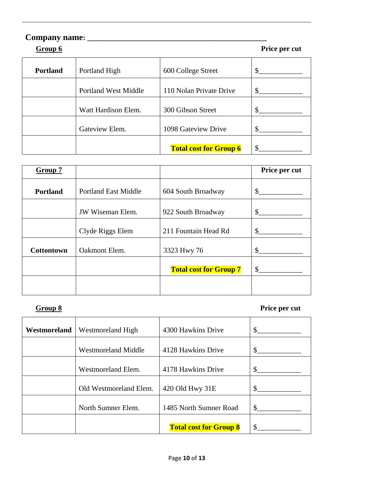# **Company name: \_\_\_\_\_\_\_\_\_\_\_\_\_\_\_\_\_\_\_\_\_\_\_\_\_\_\_\_\_\_\_\_\_\_\_\_\_\_\_\_\_\_\_\_\_\_\_\_\_ Group 6** Price per cut **Portland** Portland High 600 College Street \$\_\_\_\_\_\_\_\_\_\_\_\_ Portland West Middle 110 Nolan Private Drive \$\_\_\_\_\_\_\_\_\_\_\_\_ Watt Hardison Elem. 300 Gibson Street \$\_\_\_\_\_\_\_\_\_\_\_\_ Gateview Elem. 1098 Gateview Drive \$\_\_\_\_\_\_\_\_\_\_\_\_ **Total cost for Group 6**  $\parallel$  \$\_\_\_\_

| Group 7           |                             |                               | Price per cut |
|-------------------|-----------------------------|-------------------------------|---------------|
| <b>Portland</b>   | <b>Portland East Middle</b> | 604 South Broadway            | \$            |
|                   | <b>JW Wiseman Elem.</b>     | 922 South Broadway            | \$            |
|                   | Clyde Riggs Elem            | 211 Fountain Head Rd          |               |
| <b>Cottontown</b> | Oakmont Elem.               | 3323 Hwy 76                   |               |
|                   |                             | <b>Total cost for Group 7</b> | \$            |
|                   |                             |                               |               |

#### **Group 8** Price per cut

| Westmoreland | Westmoreland High          | 4300 Hawkins Drive            | \$ |
|--------------|----------------------------|-------------------------------|----|
|              | <b>Westmoreland Middle</b> | 4128 Hawkins Drive            | \$ |
|              | Westmoreland Elem.         | 4178 Hawkins Drive            | \$ |
|              | Old Westmoreland Elem.     | 420 Old Hwy 31E               | \$ |
|              | North Sumner Elem.         | 1485 North Sumner Road        | \$ |
|              |                            | <b>Total cost for Group 8</b> | \$ |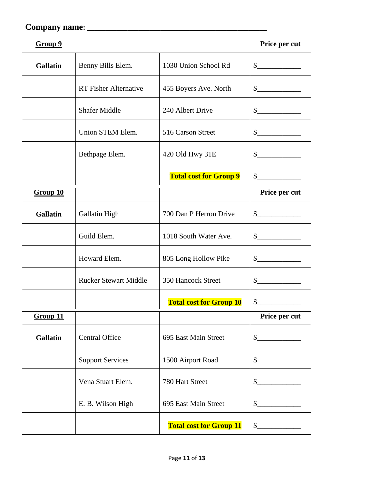### **Company name: \_\_\_\_\_\_\_\_\_\_\_\_\_\_\_\_\_\_\_\_\_\_\_\_\_\_\_\_\_\_\_\_\_\_\_\_\_\_\_\_\_\_\_\_\_\_\_\_\_**

```
Group 9 Price per cut
```

| <b>Gallatin</b> | Benny Bills Elem.            | 1030 Union School Rd           | $\sim$                                                                                                                                                                                                                                                                                                                                                                       |
|-----------------|------------------------------|--------------------------------|------------------------------------------------------------------------------------------------------------------------------------------------------------------------------------------------------------------------------------------------------------------------------------------------------------------------------------------------------------------------------|
|                 | <b>RT</b> Fisher Alternative | 455 Boyers Ave. North          | $\frac{1}{2}$                                                                                                                                                                                                                                                                                                                                                                |
|                 | <b>Shafer Middle</b>         | 240 Albert Drive               | $\frac{\S_{\frac{1}{2}}}{\S_{\frac{1}{2}}}{\S_{\frac{1}{2}}}{\S_{\frac{1}{2}}}{\S_{\frac{1}{2}}}{\S_{\frac{1}{2}}}{\S_{\frac{1}{2}}}{\S_{\frac{1}{2}}}{\S_{\frac{1}{2}}}{\S_{\frac{1}{2}}}{\S_{\frac{1}{2}}}{\S_{\frac{1}{2}}}{\S_{\frac{1}{2}}}{\S_{\frac{1}{2}}}{\S_{\frac{1}{2}}}{\S_{\frac{1}{2}}}{\S_{\frac{1}{2}}}{\S_{\frac{1}{2}}}{\S_{\frac{1}{2}}}{\S_{\frac{1}{2$ |
|                 | Union STEM Elem.             | 516 Carson Street              | $\frac{1}{2}$                                                                                                                                                                                                                                                                                                                                                                |
|                 | Bethpage Elem.               | 420 Old Hwy 31E                | $\frac{1}{2}$                                                                                                                                                                                                                                                                                                                                                                |
|                 |                              | <b>Total cost for Group 9</b>  | $\frac{1}{2}$                                                                                                                                                                                                                                                                                                                                                                |
| Group 10        |                              |                                | Price per cut                                                                                                                                                                                                                                                                                                                                                                |
| <b>Gallatin</b> | Gallatin High                | 700 Dan P Herron Drive         | $\frac{1}{2}$                                                                                                                                                                                                                                                                                                                                                                |
|                 | Guild Elem.                  | 1018 South Water Ave.          | $\mathcal{S}$                                                                                                                                                                                                                                                                                                                                                                |
|                 | Howard Elem.                 | 805 Long Hollow Pike           | $\sim$                                                                                                                                                                                                                                                                                                                                                                       |
|                 | <b>Rucker Stewart Middle</b> | 350 Hancock Street             | $\mathcal{S}$                                                                                                                                                                                                                                                                                                                                                                |
|                 |                              | <b>Total cost for Group 10</b> | \$                                                                                                                                                                                                                                                                                                                                                                           |
| Group 11        |                              |                                | Price per cut                                                                                                                                                                                                                                                                                                                                                                |
| <b>Gallatin</b> | <b>Central Office</b>        | 695 East Main Street           | $\frac{1}{2}$                                                                                                                                                                                                                                                                                                                                                                |
|                 | <b>Support Services</b>      | 1500 Airport Road              | $\frac{1}{2}$                                                                                                                                                                                                                                                                                                                                                                |
|                 | Vena Stuart Elem.            | 780 Hart Street                | $\frac{1}{2}$                                                                                                                                                                                                                                                                                                                                                                |
|                 | E. B. Wilson High            | 695 East Main Street           | $\frac{1}{2}$                                                                                                                                                                                                                                                                                                                                                                |
|                 |                              | <b>Total cost for Group 11</b> | $\frac{1}{2}$                                                                                                                                                                                                                                                                                                                                                                |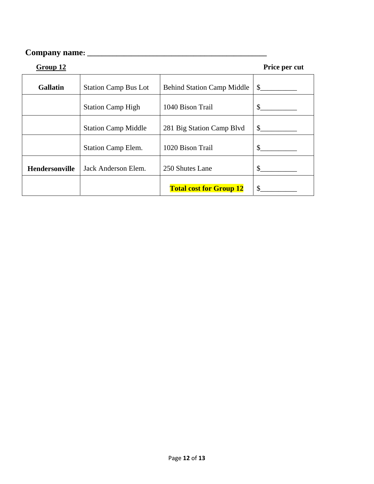# **Company name: \_\_\_\_\_\_\_\_\_\_\_\_\_\_\_\_\_\_\_\_\_\_\_\_\_\_\_\_\_\_\_\_\_\_\_\_\_\_\_\_\_\_\_\_\_\_\_\_\_**

| Group 12              |                             |                                   | Price per cut |
|-----------------------|-----------------------------|-----------------------------------|---------------|
| <b>Gallatin</b>       | <b>Station Camp Bus Lot</b> | <b>Behind Station Camp Middle</b> | \$            |
|                       | <b>Station Camp High</b>    | 1040 Bison Trail                  | \$            |
|                       | <b>Station Camp Middle</b>  | 281 Big Station Camp Blvd         | $\mathbb{S}$  |
|                       | <b>Station Camp Elem.</b>   | 1020 Bison Trail                  | \$            |
| <b>Hendersonville</b> | Jack Anderson Elem.         | 250 Shutes Lane                   | \$            |
|                       |                             | <b>Total cost for Group 12</b>    | \$            |